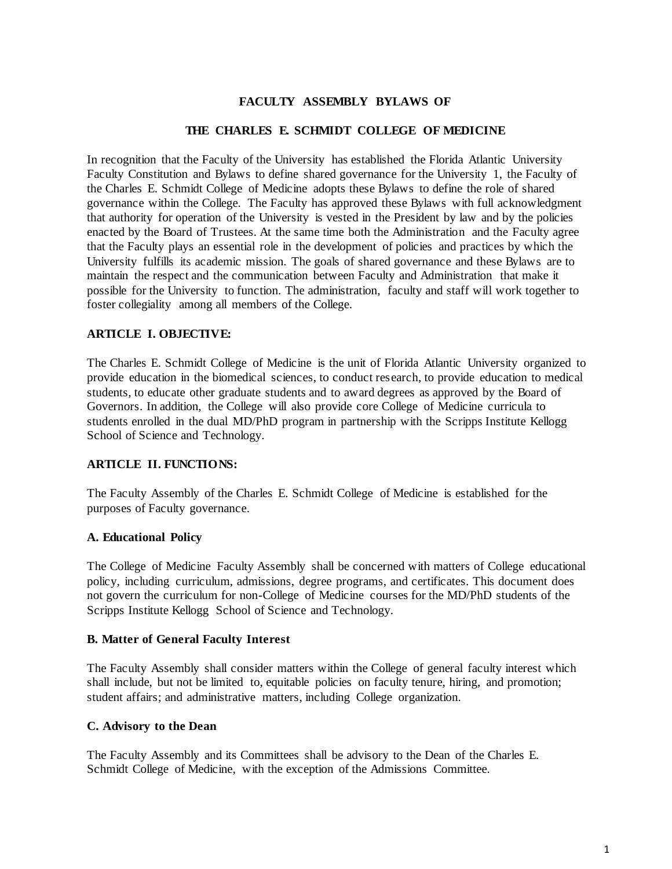## **FACULTY ASSEMBLY BYLAWS OF**

## **THE CHARLES E. SCHMIDT COLLEGE OF MEDICINE**

In recognition that the Faculty of the University has established the Florida Atlantic University Faculty Constitution and Bylaws to define shared governance for the University 1, the Faculty of the Charles E. Schmidt College of Medicine adopts these Bylaws to define the role of shared governance within the College. The Faculty has approved these Bylaws with full acknowledgment that authority for operation of the University is vested in the President by law and by the policies enacted by the Board of Trustees. At the same time both the Administration and the Faculty agree that the Faculty plays an essential role in the development of policies and practices by which the University fulfills its academic mission. The goals of shared governance and these Bylaws are to maintain the respect and the communication between Faculty and Administration that make it possible for the University to function. The administration, faculty and staff will work together to foster collegiality among all members of the College.

## **ARTICLE I. OBJECTIVE:**

The Charles E. Schmidt College of Medicine is the unit of Florida Atlantic University organized to provide education in the biomedical sciences, to conduct research, to provide education to medical students, to educate other graduate students and to award degrees as approved by the Board of Governors. In addition, the College will also provide core College of Medicine curricula to students enrolled in the dual MD/PhD program in partnership with the Scripps Institute Kellogg School of Science and Technology.

# **ARTICLE II. FUNCTIONS:**

The Faculty Assembly of the Charles E. Schmidt College of Medicine is established for the purposes of Faculty governance.

## **A. Educational Policy**

The College of Medicine Faculty Assembly shall be concerned with matters of College educational policy, including curriculum, admissions, degree programs, and certificates. This document does not govern the curriculum for non-College of Medicine courses for the MD/PhD students of the Scripps Institute Kellogg School of Science and Technology.

## **B. Matter of General Faculty Interest**

The Faculty Assembly shall consider matters within the College of general faculty interest which shall include, but not be limited to, equitable policies on faculty tenure, hiring, and promotion; student affairs; and administrative matters, including College organization.

## **C. Advisory to the Dean**

The Faculty Assembly and its Committees shall be advisory to the Dean of the Charles E. Schmidt College of Medicine, with the exception of the Admissions Committee.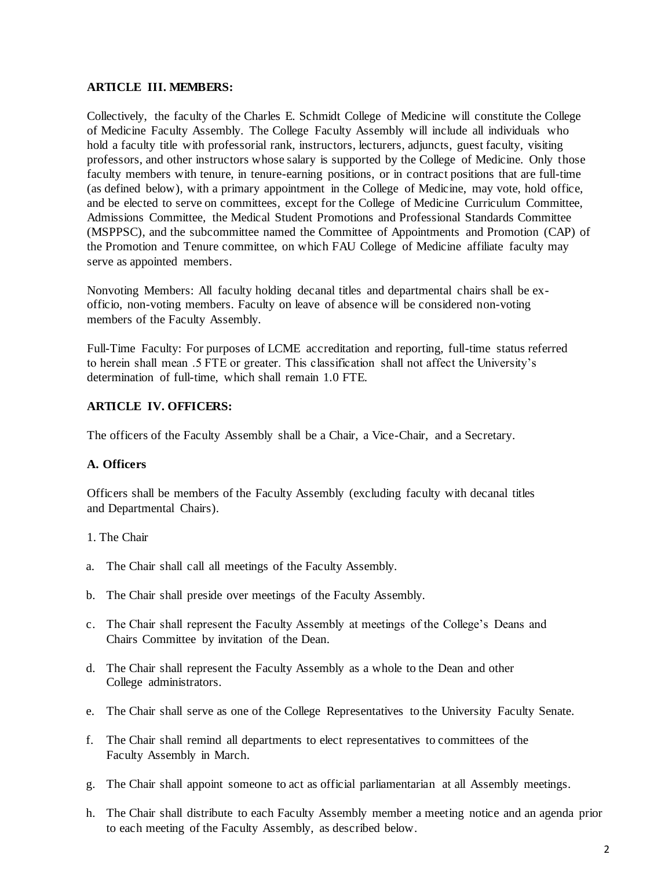## **ARTICLE III. MEMBERS:**

Collectively, the faculty of the Charles E. Schmidt College of Medicine will constitute the College of Medicine Faculty Assembly. The College Faculty Assembly will include all individuals who hold a faculty title with professorial rank, instructors, lecturers, adjuncts, guest faculty, visiting professors, and other instructors whose salary is supported by the College of Medicine. Only those faculty members with tenure, in tenure-earning positions, or in contract positions that are full-time (as defined below), with a primary appointment in the College of Medicine, may vote, hold office, and be elected to serve on committees, except for the College of Medicine Curriculum Committee, Admissions Committee, the Medical Student Promotions and Professional Standards Committee (MSPPSC), and the subcommittee named the Committee of Appointments and Promotion (CAP) of the Promotion and Tenure committee, on which FAU College of Medicine affiliate faculty may serve as appointed members.

Nonvoting Members: All faculty holding decanal titles and departmental chairs shall be exofficio, non-voting members. Faculty on leave of absence will be considered non-voting members of the Faculty Assembly.

Full-Time Faculty: For purposes of LCME accreditation and reporting, full-time status referred to herein shall mean .5 FTE or greater. This classification shall not affect the University's determination of full-time, which shall remain 1.0 FTE.

## **ARTICLE IV. OFFICERS:**

The officers of the Faculty Assembly shall be a Chair, a Vice-Chair, and a Secretary.

# **A. Officers**

Officers shall be members of the Faculty Assembly (excluding faculty with decanal titles and Departmental Chairs).

## 1. The Chair

- a. The Chair shall call all meetings of the Faculty Assembly.
- b. The Chair shall preside over meetings of the Faculty Assembly.
- c. The Chair shall represent the Faculty Assembly at meetings of the College's Deans and Chairs Committee by invitation of the Dean.
- d. The Chair shall represent the Faculty Assembly as a whole to the Dean and other College administrators.
- e. The Chair shall serve as one of the College Representatives to the University Faculty Senate.
- f. The Chair shall remind all departments to elect representatives to committees of the Faculty Assembly in March.
- g. The Chair shall appoint someone to act as official parliamentarian at all Assembly meetings.
- h. The Chair shall distribute to each Faculty Assembly member a meeting notice and an agenda prior to each meeting of the Faculty Assembly, as described below.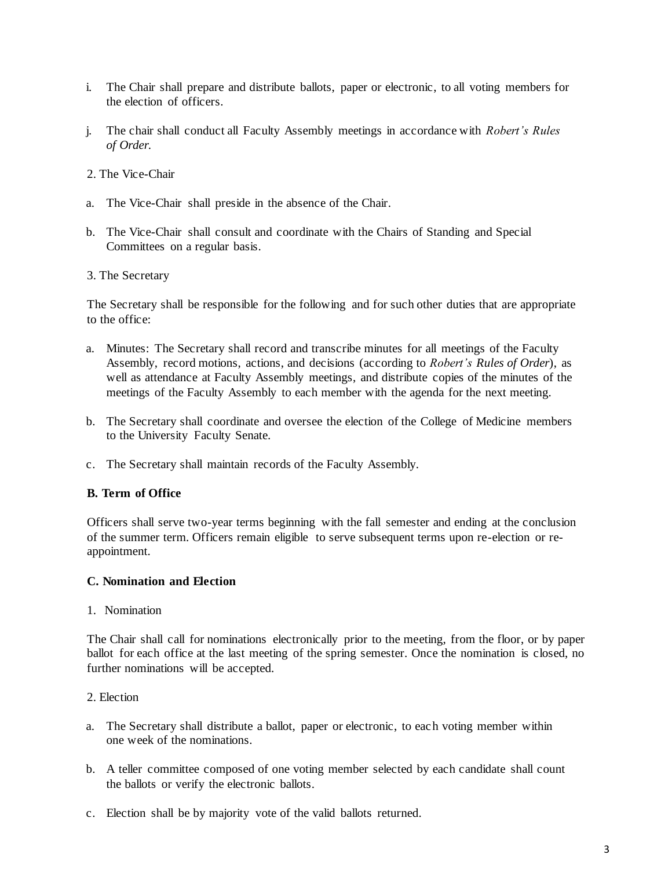- i. The Chair shall prepare and distribute ballots, paper or electronic, to all voting members for the election of officers.
- j. The chair shall conduct all Faculty Assembly meetings in accordance with *Robert's Rules of Order.*
- 2. The Vice-Chair
- a. The Vice-Chair shall preside in the absence of the Chair.
- b. The Vice-Chair shall consult and coordinate with the Chairs of Standing and Special Committees on a regular basis.
- 3. The Secretary

The Secretary shall be responsible for the following and for such other duties that are appropriate to the office:

- a. Minutes: The Secretary shall record and transcribe minutes for all meetings of the Faculty Assembly, record motions, actions, and decisions (according to *Robert's Rules of Order*), as well as attendance at Faculty Assembly meetings, and distribute copies of the minutes of the meetings of the Faculty Assembly to each member with the agenda for the next meeting.
- b. The Secretary shall coordinate and oversee the election of the College of Medicine members to the University Faculty Senate.
- c. The Secretary shall maintain records of the Faculty Assembly.

## **B. Term of Office**

Officers shall serve two-year terms beginning with the fall semester and ending at the conclusion of the summer term. Officers remain eligible to serve subsequent terms upon re-election or reappointment.

#### **C. Nomination and Election**

1. Nomination

The Chair shall call for nominations electronically prior to the meeting, from the floor, or by paper ballot for each office at the last meeting of the spring semester. Once the nomination is closed, no further nominations will be accepted.

### 2. Election

- a. The Secretary shall distribute a ballot, paper or electronic, to each voting member within one week of the nominations.
- b. A teller committee composed of one voting member selected by each candidate shall count the ballots or verify the electronic ballots.
- c. Election shall be by majority vote of the valid ballots returned.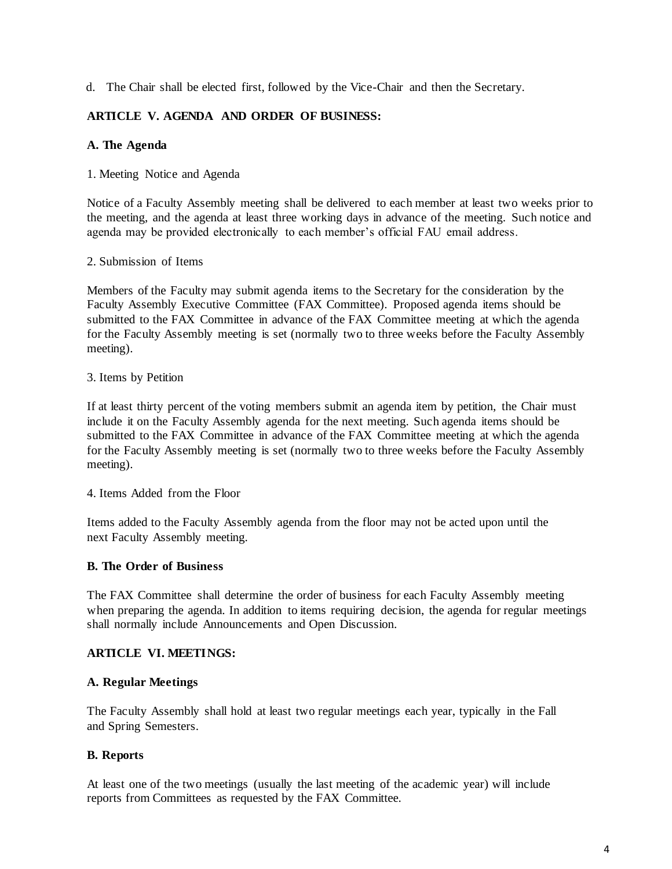d. The Chair shall be elected first, followed by the Vice-Chair and then the Secretary.

# **ARTICLE V. AGENDA AND ORDER OF BUSINESS:**

# **A. The Agenda**

## 1. Meeting Notice and Agenda

Notice of a Faculty Assembly meeting shall be delivered to each member at least two weeks prior to the meeting, and the agenda at least three working days in advance of the meeting. Such notice and agenda may be provided electronically to each member's official FAU email address.

## 2. Submission of Items

Members of the Faculty may submit agenda items to the Secretary for the consideration by the Faculty Assembly Executive Committee (FAX Committee). Proposed agenda items should be submitted to the FAX Committee in advance of the FAX Committee meeting at which the agenda for the Faculty Assembly meeting is set (normally two to three weeks before the Faculty Assembly meeting).

## 3. Items by Petition

If at least thirty percent of the voting members submit an agenda item by petition, the Chair must include it on the Faculty Assembly agenda for the next meeting. Such agenda items should be submitted to the FAX Committee in advance of the FAX Committee meeting at which the agenda for the Faculty Assembly meeting is set (normally two to three weeks before the Faculty Assembly meeting).

4. Items Added from the Floor

Items added to the Faculty Assembly agenda from the floor may not be acted upon until the next Faculty Assembly meeting.

# **B. The Order of Business**

The FAX Committee shall determine the order of business for each Faculty Assembly meeting when preparing the agenda. In addition to items requiring decision, the agenda for regular meetings shall normally include Announcements and Open Discussion.

# **ARTICLE VI. MEETINGS:**

## **A. Regular Meetings**

The Faculty Assembly shall hold at least two regular meetings each year, typically in the Fall and Spring Semesters.

# **B. Reports**

At least one of the two meetings (usually the last meeting of the academic year) will include reports from Committees as requested by the FAX Committee.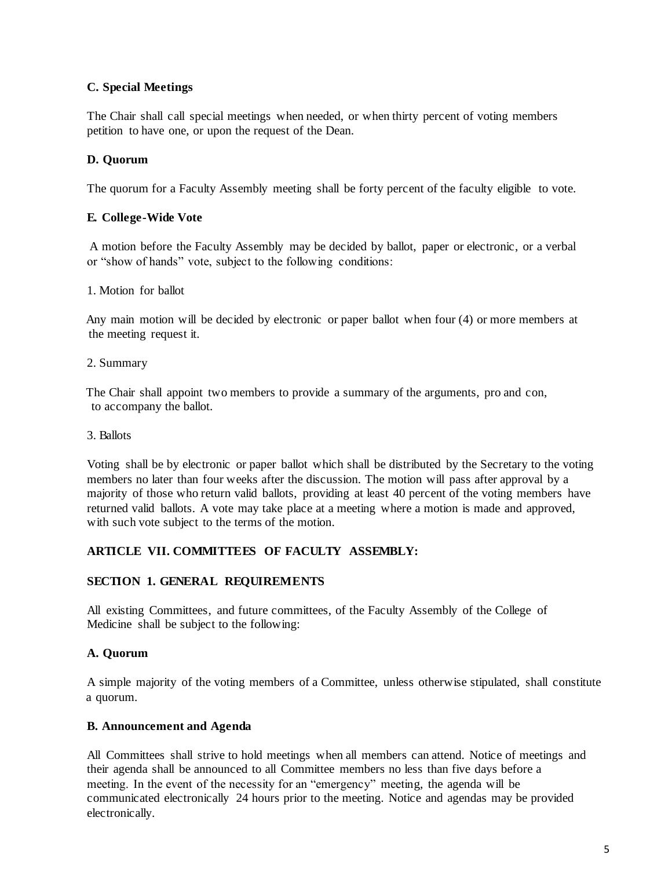# **C. Special Meetings**

The Chair shall call special meetings when needed, or when thirty percent of voting members petition to have one, or upon the request of the Dean.

# **D. Quorum**

The quorum for a Faculty Assembly meeting shall be forty percent of the faculty eligible to vote.

# **E. College-Wide Vote**

A motion before the Faculty Assembly may be decided by ballot, paper or electronic, or a verbal or "show of hands" vote, subject to the following conditions:

## 1. Motion for ballot

Any main motion will be decided by electronic or paper ballot when four (4) or more members at the meeting request it.

## 2. Summary

The Chair shall appoint two members to provide a summary of the arguments, pro and con, to accompany the ballot.

3. Ballots

Voting shall be by electronic or paper ballot which shall be distributed by the Secretary to the voting members no later than four weeks after the discussion. The motion will pass after approval by a majority of those who return valid ballots, providing at least 40 percent of the voting members have returned valid ballots. A vote may take place at a meeting where a motion is made and approved, with such vote subject to the terms of the motion.

# **ARTICLE VII. COMMITTEES OF FACULTY ASSEMBLY:**

## **SECTION 1. GENERAL REQUIREMENTS**

All existing Committees, and future committees, of the Faculty Assembly of the College of Medicine shall be subject to the following:

## **A. Quorum**

A simple majority of the voting members of a Committee, unless otherwise stipulated, shall constitute a quorum.

## **B. Announcement and Agenda**

All Committees shall strive to hold meetings when all members can attend. Notice of meetings and their agenda shall be announced to all Committee members no less than five days before a meeting. In the event of the necessity for an "emergency" meeting, the agenda will be communicated electronically 24 hours prior to the meeting. Notice and agendas may be provided electronically.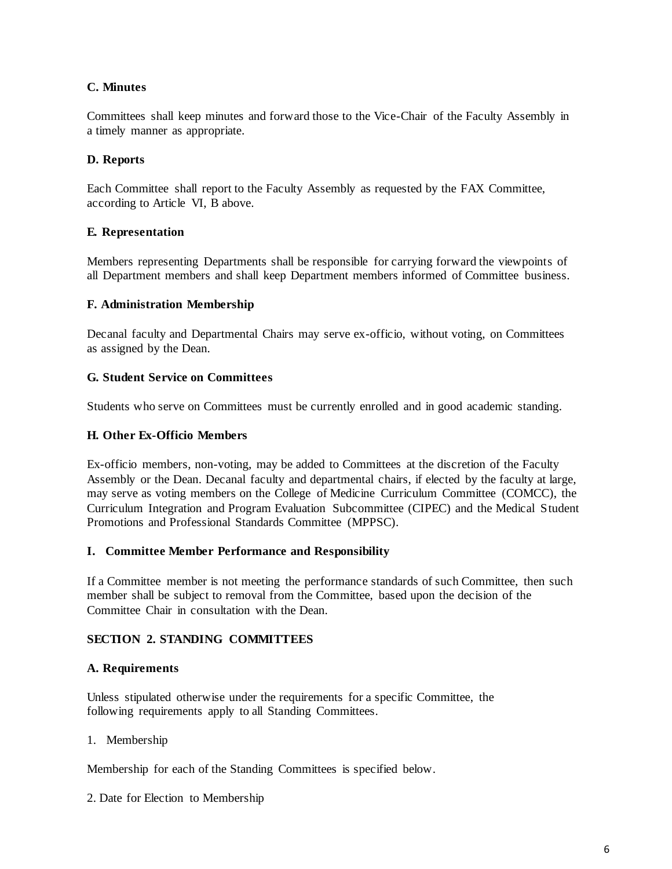# **C. Minutes**

Committees shall keep minutes and forward those to the Vice-Chair of the Faculty Assembly in a timely manner as appropriate.

# **D. Reports**

Each Committee shall report to the Faculty Assembly as requested by the FAX Committee, according to Article VI, B above.

## **E. Representation**

Members representing Departments shall be responsible for carrying forward the viewpoints of all Department members and shall keep Department members informed of Committee business.

## **F. Administration Membership**

Decanal faculty and Departmental Chairs may serve ex-officio, without voting, on Committees as assigned by the Dean.

## **G. Student Service on Committees**

Students who serve on Committees must be currently enrolled and in good academic standing.

## **H. Other Ex-Officio Members**

Ex-officio members, non-voting, may be added to Committees at the discretion of the Faculty Assembly or the Dean. Decanal faculty and departmental chairs, if elected by the faculty at large, may serve as voting members on the College of Medicine Curriculum Committee (COMCC), the Curriculum Integration and Program Evaluation Subcommittee (CIPEC) and the Medical Student Promotions and Professional Standards Committee (MPPSC).

## **I. Committee Member Performance and Responsibility**

If a Committee member is not meeting the performance standards of such Committee, then such member shall be subject to removal from the Committee, based upon the decision of the Committee Chair in consultation with the Dean.

## **SECTION 2. STANDING COMMITTEES**

## **A. Requirements**

Unless stipulated otherwise under the requirements for a specific Committee, the following requirements apply to all Standing Committees.

## 1. Membership

Membership for each of the Standing Committees is specified below.

2. Date for Election to Membership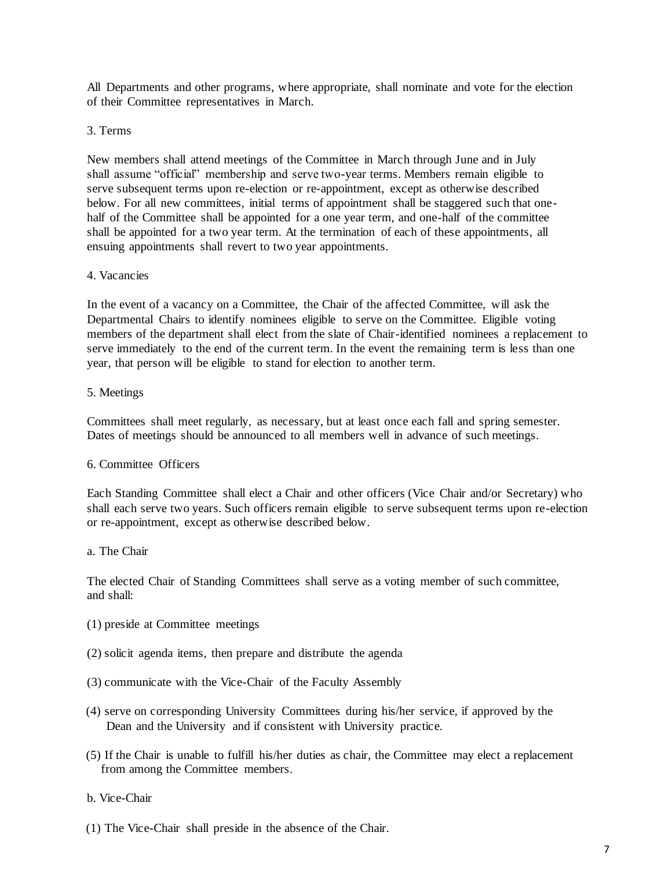All Departments and other programs, where appropriate, shall nominate and vote for the election of their Committee representatives in March.

### 3. Terms

New members shall attend meetings of the Committee in March through June and in July shall assume "official" membership and serve two-year terms. Members remain eligible to serve subsequent terms upon re-election or re-appointment, except as otherwise described below. For all new committees, initial terms of appointment shall be staggered such that onehalf of the Committee shall be appointed for a one year term, and one-half of the committee shall be appointed for a two year term. At the termination of each of these appointments, all ensuing appointments shall revert to two year appointments.

#### 4. Vacancies

In the event of a vacancy on a Committee, the Chair of the affected Committee, will ask the Departmental Chairs to identify nominees eligible to serve on the Committee. Eligible voting members of the department shall elect from the slate of Chair-identified nominees a replacement to serve immediately to the end of the current term. In the event the remaining term is less than one year, that person will be eligible to stand for election to another term.

#### 5. Meetings

Committees shall meet regularly, as necessary, but at least once each fall and spring semester. Dates of meetings should be announced to all members well in advance of such meetings.

### 6. Committee Officers

Each Standing Committee shall elect a Chair and other officers (Vice Chair and/or Secretary) who shall each serve two years. Such officers remain eligible to serve subsequent terms upon re-election or re-appointment, except as otherwise described below.

#### a. The Chair

The elected Chair of Standing Committees shall serve as a voting member of such committee, and shall:

- (1) preside at Committee meetings
- (2) solicit agenda items, then prepare and distribute the agenda
- (3) communicate with the Vice-Chair of the Faculty Assembly
- (4) serve on corresponding University Committees during his/her service, if approved by the Dean and the University and if consistent with University practice.
- (5) If the Chair is unable to fulfill his/her duties as chair, the Committee may elect a replacement from among the Committee members.

#### b. Vice-Chair

(1) The Vice-Chair shall preside in the absence of the Chair.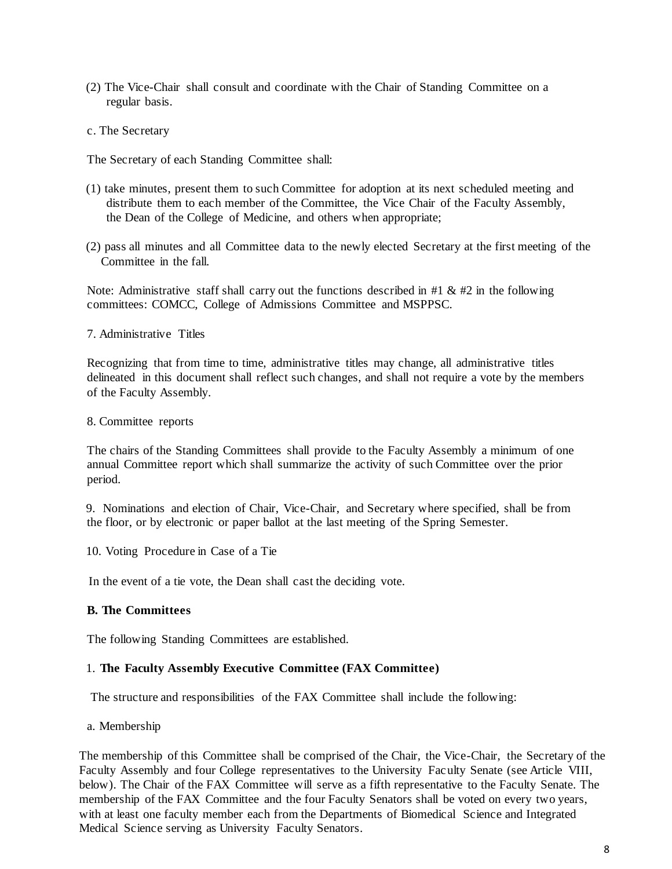- (2) The Vice-Chair shall consult and coordinate with the Chair of Standing Committee on a regular basis.
- c. The Secretary

The Secretary of each Standing Committee shall:

- (1) take minutes, present them to such Committee for adoption at its next scheduled meeting and distribute them to each member of the Committee, the Vice Chair of the Faculty Assembly, the Dean of the College of Medicine, and others when appropriate;
- (2) pass all minutes and all Committee data to the newly elected Secretary at the first meeting of the Committee in the fall.

Note: Administrative staff shall carry out the functions described in #1  $\&$  #2 in the following committees: COMCC, College of Admissions Committee and MSPPSC.

7. Administrative Titles

Recognizing that from time to time, administrative titles may change, all administrative titles delineated in this document shall reflect such changes, and shall not require a vote by the members of the Faculty Assembly.

8. Committee reports

The chairs of the Standing Committees shall provide to the Faculty Assembly a minimum of one annual Committee report which shall summarize the activity of such Committee over the prior period.

9. Nominations and election of Chair, Vice-Chair, and Secretary where specified, shall be from the floor, or by electronic or paper ballot at the last meeting of the Spring Semester.

10. Voting Procedure in Case of a Tie

In the event of a tie vote, the Dean shall cast the deciding vote.

## **B. The Committees**

The following Standing Committees are established.

#### 1. **The Faculty Assembly Executive Committee (FAX Committee)**

The structure and responsibilities of the FAX Committee shall include the following:

a. Membership

The membership of this Committee shall be comprised of the Chair, the Vice-Chair, the Secretary of the Faculty Assembly and four College representatives to the University Faculty Senate (see Article VIII, below). The Chair of the FAX Committee will serve as a fifth representative to the Faculty Senate. The membership of the FAX Committee and the four Faculty Senators shall be voted on every two years, with at least one faculty member each from the Departments of Biomedical Science and Integrated Medical Science serving as University Faculty Senators.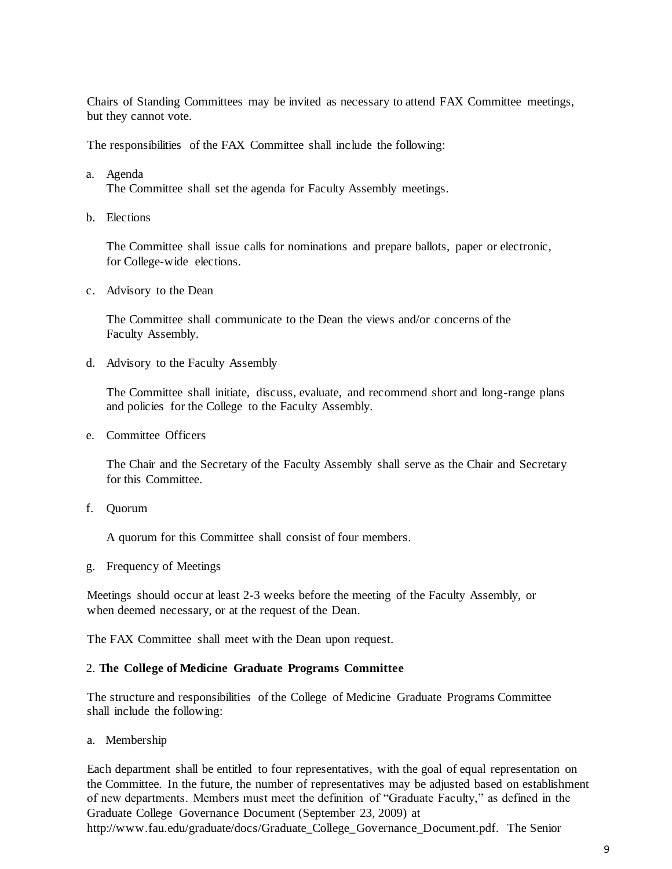Chairs of Standing Committees may be invited as necessary to attend FAX Committee meetings, but they cannot vote.

The responsibilities of the FAX Committee shall include the following:

a. Agenda

The Committee shall set the agenda for Faculty Assembly meetings.

b. Elections

The Committee shall issue calls for nominations and prepare ballots, paper or electronic, for College-wide elections.

c. Advisory to the Dean

The Committee shall communicate to the Dean the views and/or concerns of the Faculty Assembly.

d. Advisory to the Faculty Assembly

The Committee shall initiate, discuss, evaluate, and recommend short and long-range plans and policies for the College to the Faculty Assembly.

e. Committee Officers

The Chair and the Secretary of the Faculty Assembly shall serve as the Chair and Secretary for this Committee.

f. Quorum

A quorum for this Committee shall consist of four members.

g. Frequency of Meetings

Meetings should occur at least 2-3 weeks before the meeting of the Faculty Assembly, or when deemed necessary, or at the request of the Dean.

The FAX Committee shall meet with the Dean upon request.

#### 2. **The College of Medicine Graduate Programs Committee**

The structure and responsibilities of the College of Medicine Graduate Programs Committee shall include the following:

a. Membership

Each department shall be entitled to four representatives, with the goal of equal representation on the Committee. In the future, the number of representatives may be adjusted based on establishment of new departments. Members must meet the definition of "Graduate Faculty," as defined in the Graduate College Governance Document (September 23, 2009) at [http://www.fau.edu/graduate/docs/Graduate\\_College\\_Governance\\_Document.pdf. T](http://www.fau.edu/graduate/docs/Graduate_College_Governance_Document.pdf)he Senior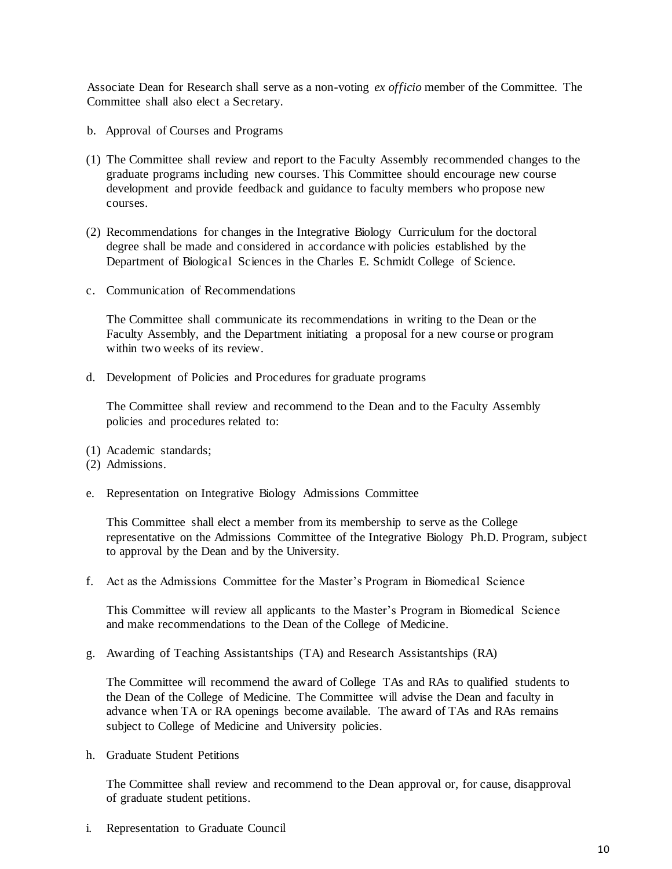Associate Dean for Research shall serve as a non-voting *ex officio* member of the Committee. The Committee shall also elect a Secretary.

- b. Approval of Courses and Programs
- (1) The Committee shall review and report to the Faculty Assembly recommended changes to the graduate programs including new courses. This Committee should encourage new course development and provide feedback and guidance to faculty members who propose new courses.
- (2) Recommendations for changes in the Integrative Biology Curriculum for the doctoral degree shall be made and considered in accordance with policies established by the Department of Biological Sciences in the Charles E. Schmidt College of Science.
- c. Communication of Recommendations

The Committee shall communicate its recommendations in writing to the Dean or the Faculty Assembly, and the Department initiating a proposal for a new course or program within two weeks of its review.

d. Development of Policies and Procedures for graduate programs

The Committee shall review and recommend to the Dean and to the Faculty Assembly policies and procedures related to:

- (1) Academic standards;
- (2) Admissions.
- e. Representation on Integrative Biology Admissions Committee

This Committee shall elect a member from its membership to serve as the College representative on the Admissions Committee of the Integrative Biology Ph.D. Program, subject to approval by the Dean and by the University.

f. Act as the Admissions Committee for the Master's Program in Biomedical Science

This Committee will review all applicants to the Master's Program in Biomedical Science and make recommendations to the Dean of the College of Medicine.

g. Awarding of Teaching Assistantships (TA) and Research Assistantships (RA)

The Committee will recommend the award of College TAs and RAs to qualified students to the Dean of the College of Medicine. The Committee will advise the Dean and faculty in advance when TA or RA openings become available. The award of TAs and RAs remains subject to College of Medicine and University policies.

h. Graduate Student Petitions

The Committee shall review and recommend to the Dean approval or, for cause, disapproval of graduate student petitions.

i. Representation to Graduate Council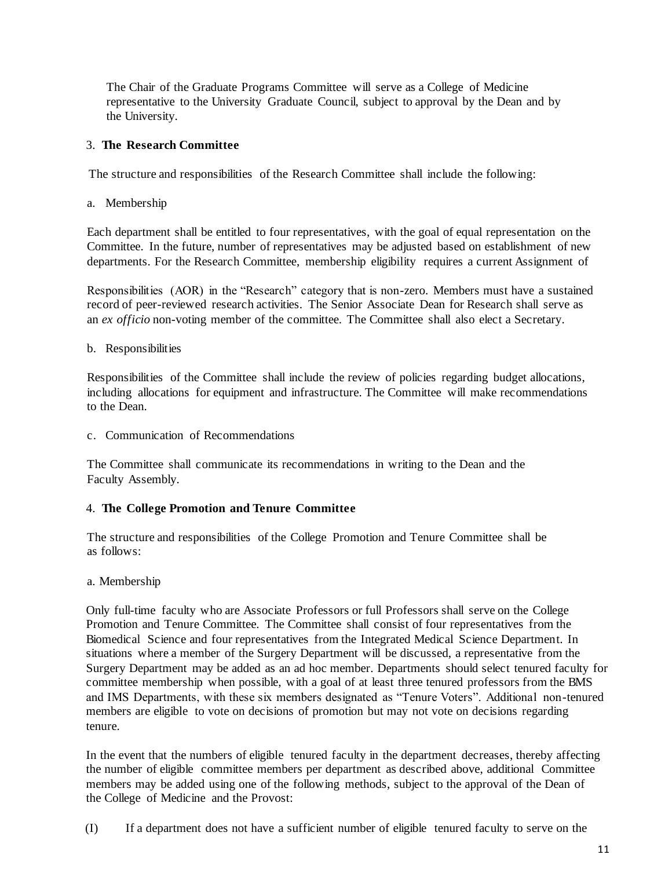The Chair of the Graduate Programs Committee will serve as a College of Medicine representative to the University Graduate Council, subject to approval by the Dean and by the University.

## 3. **The Research Committee**

The structure and responsibilities of the Research Committee shall include the following:

a. Membership

Each department shall be entitled to four representatives, with the goal of equal representation on the Committee. In the future, number of representatives may be adjusted based on establishment of new departments. For the Research Committee, membership eligibility requires a current Assignment of

Responsibilities (AOR) in the "Research" category that is non-zero. Members must have a sustained record of peer-reviewed research activities. The Senior Associate Dean for Research shall serve as an *ex officio* non-voting member of the committee. The Committee shall also elect a Secretary.

b. Responsibilities

Responsibilities of the Committee shall include the review of policies regarding budget allocations, including allocations for equipment and infrastructure. The Committee will make recommendations to the Dean.

c. Communication of Recommendations

The Committee shall communicate its recommendations in writing to the Dean and the Faculty Assembly.

## 4. **The College Promotion and Tenure Committee**

The structure and responsibilities of the College Promotion and Tenure Committee shall be as follows:

a. Membership

Only full-time faculty who are Associate Professors or full Professors shall serve on the College Promotion and Tenure Committee. The Committee shall consist of four representatives from the Biomedical Science and four representatives from the Integrated Medical Science Department. In situations where a member of the Surgery Department will be discussed, a representative from the Surgery Department may be added as an ad hoc member. Departments should select tenured faculty for committee membership when possible, with a goal of at least three tenured professors from the BMS and IMS Departments, with these six members designated as "Tenure Voters". Additional non-tenured members are eligible to vote on decisions of promotion but may not vote on decisions regarding tenure.

In the event that the numbers of eligible tenured faculty in the department decreases, thereby affecting the number of eligible committee members per department as described above, additional Committee members may be added using one of the following methods, subject to the approval of the Dean of the College of Medicine and the Provost:

(I) If a department does not have a sufficient number of eligible tenured faculty to serve on the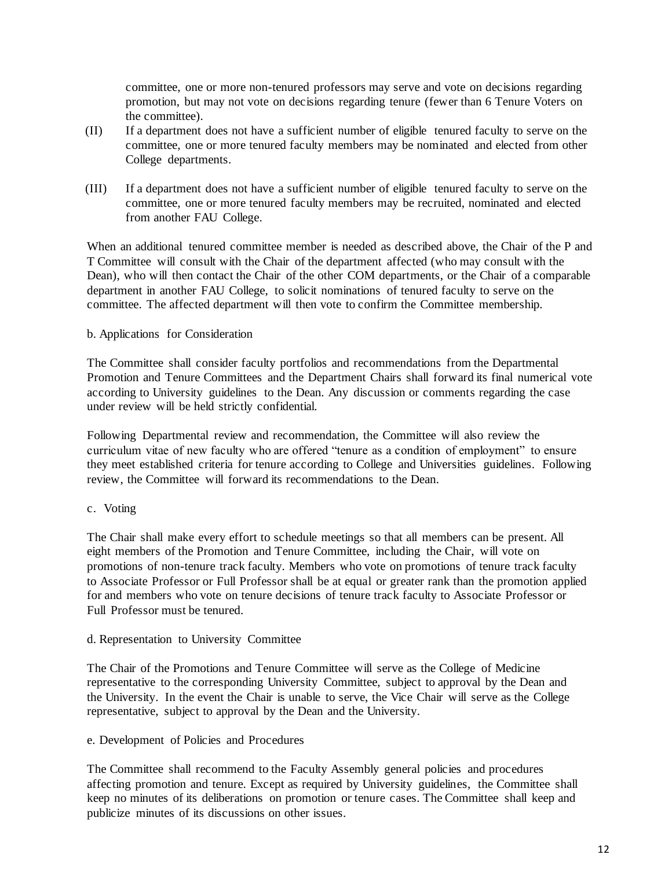committee, one or more non-tenured professors may serve and vote on decisions regarding promotion, but may not vote on decisions regarding tenure (fewer than 6 Tenure Voters on the committee).

- (II) If a department does not have a sufficient number of eligible tenured faculty to serve on the committee, one or more tenured faculty members may be nominated and elected from other College departments.
- (III) If a department does not have a sufficient number of eligible tenured faculty to serve on the committee, one or more tenured faculty members may be recruited, nominated and elected from another FAU College.

When an additional tenured committee member is needed as described above, the Chair of the P and T Committee will consult with the Chair of the department affected (who may consult with the Dean), who will then contact the Chair of the other COM departments, or the Chair of a comparable department in another FAU College, to solicit nominations of tenured faculty to serve on the committee. The affected department will then vote to confirm the Committee membership.

## b. Applications for Consideration

The Committee shall consider faculty portfolios and recommendations from the Departmental Promotion and Tenure Committees and the Department Chairs shall forward its final numerical vote according to University guidelines to the Dean. Any discussion or comments regarding the case under review will be held strictly confidential.

Following Departmental review and recommendation, the Committee will also review the curriculum vitae of new faculty who are offered "tenure as a condition of employment" to ensure they meet established criteria for tenure according to College and Universities guidelines. Following review, the Committee will forward its recommendations to the Dean.

## c. Voting

The Chair shall make every effort to schedule meetings so that all members can be present. All eight members of the Promotion and Tenure Committee, including the Chair, will vote on promotions of non-tenure track faculty. Members who vote on promotions of tenure track faculty to Associate Professor or Full Professor shall be at equal or greater rank than the promotion applied for and members who vote on tenure decisions of tenure track faculty to Associate Professor or Full Professor must be tenured.

## d. Representation to University Committee

The Chair of the Promotions and Tenure Committee will serve as the College of Medicine representative to the corresponding University Committee, subject to approval by the Dean and the University. In the event the Chair is unable to serve, the Vice Chair will serve as the College representative, subject to approval by the Dean and the University.

## e. Development of Policies and Procedures

The Committee shall recommend to the Faculty Assembly general policies and procedures affecting promotion and tenure. Except as required by University guidelines, the Committee shall keep no minutes of its deliberations on promotion or tenure cases. The Committee shall keep and publicize minutes of its discussions on other issues.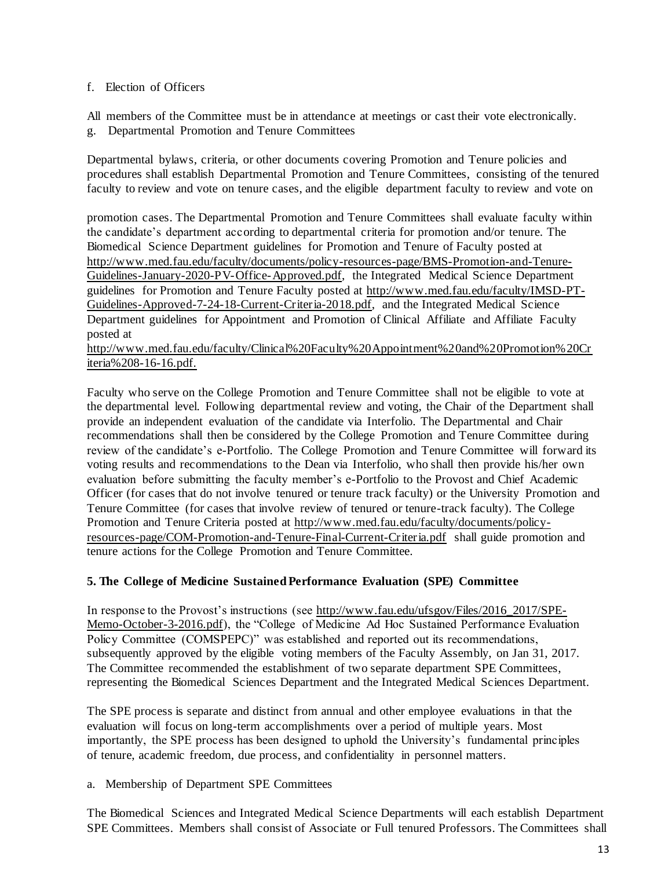## f. Election of Officers

All members of the Committee must be in attendance at meetings or cast their vote electronically. g. Departmental Promotion and Tenure Committees

Departmental bylaws, criteria, or other documents covering Promotion and Tenure policies and procedures shall establish Departmental Promotion and Tenure Committees, consisting of the tenured faculty to review and vote on tenure cases, and the eligible department faculty to review and vote on

promotion cases. The Departmental Promotion and Tenure Committees shall evaluate faculty within the candidate's department according to departmental criteria for promotion and/or tenure. The Biomedical Science Department guidelines for Promotion and Tenure of Faculty posted at [http://www.med.fau.edu/faculty/documents/policy-resources-page/BMS-Promotion-and-Tenure-](http://med.fau.edu/faculty/COM_BMS_Promotion_and_Tenure_Guidelines_2015.pdf)[Guidelines-January-2020-PV-Office-Approved.pdf, t](http://med.fau.edu/faculty/COM_BMS_Promotion_and_Tenure_Guidelines_2015.pdf)he Integrated Medical Science Department guidelines for Promotion and Tenure Faculty posted at [http://www.med.fau.edu/faculty/IMSD-PT-](http://med.fau.edu/imsd/pdf/IMSD_PT_Guidelines.pdf)[Guidelines-Approved-7-24-18-Current-Criteria-2018.pdf, a](http://med.fau.edu/imsd/pdf/IMSD_PT_Guidelines.pdf)nd the Integrated Medical Science Department guidelines for Appointment and Promotion of Clinical Affiliate and Affiliate Faculty posted at

[http://www.med.fau.edu/faculty/Clinical%20Faculty%20Appointment%20and%20Promotion%20Cr](http://www.med.fau.edu/faculty/Clinical%20Faculty%20Appointment%20and%20Promotion%20Criteria%208-16-16.pdf) [iteria%208-16-16.pdf.](http://www.med.fau.edu/faculty/Clinical%20Faculty%20Appointment%20and%20Promotion%20Criteria%208-16-16.pdf)

Faculty who serve on the College Promotion and Tenure Committee shall not be eligible to vote at the departmental level. Following departmental review and voting, the Chair of the Department shall provide an independent evaluation of the candidate via Interfolio. The Departmental and Chair recommendations shall then be considered by the College Promotion and Tenure Committee during review of the candidate's e-Portfolio. The College Promotion and Tenure Committee will forward its voting results and recommendations to the Dean via Interfolio, who shall then provide his/her own evaluation before submitting the faculty member's e-Portfolio to the Provost and Chief Academic Officer (for cases that do not involve tenured or tenure track faculty) or the University Promotion and Tenure Committee (for cases that involve review of tenured or tenure-track faculty). The College Promotion and Tenure Criteria posted at [http://www.med.fau.edu/faculty/documents/policy](http://www.med.fau.edu/faculty/documents/policy-resources-page/COM-Promotion-and-Tenure-Final-Current-Criteria.pdf)[resources-page/COM-Promotion-and-Tenure-Final-Current-Criteria.pdf](http://www.med.fau.edu/faculty/documents/policy-resources-page/COM-Promotion-and-Tenure-Final-Current-Criteria.pdf) shall guide promotion and tenure actions for the College Promotion and Tenure Committee.

## **5. The College of Medicine Sustained Performance Evaluation (SPE) Committee**

In response to the Provost's instructions (see [http://www.fau.edu/ufsgov/Files/2016\\_2017/SPE-](http://www.fau.edu/ufsgov/Files/2016_2017/SPE-Memo-October-3-2016.pdf)[Memo-October-3-2016.pdf\)](http://www.fau.edu/ufsgov/Files/2016_2017/SPE-Memo-October-3-2016.pdf), the "College of Medicine Ad Hoc Sustained Performance Evaluation Policy Committee (COMSPEPC)" was established and reported out its recommendations, subsequently approved by the eligible voting members of the Faculty Assembly, on Jan 31, 2017. The Committee recommended the establishment of two separate department SPE Committees, representing the Biomedical Sciences Department and the Integrated Medical Sciences Department.

The SPE process is separate and distinct from annual and other employee evaluations in that the evaluation will focus on long-term accomplishments over a period of multiple years. Most importantly, the SPE process has been designed to uphold the University's fundamental principles of tenure, academic freedom, due process, and confidentiality in personnel matters.

a. Membership of Department SPE Committees

The Biomedical Sciences and Integrated Medical Science Departments will each establish Department SPE Committees. Members shall consist of Associate or Full tenured Professors. The Committees shall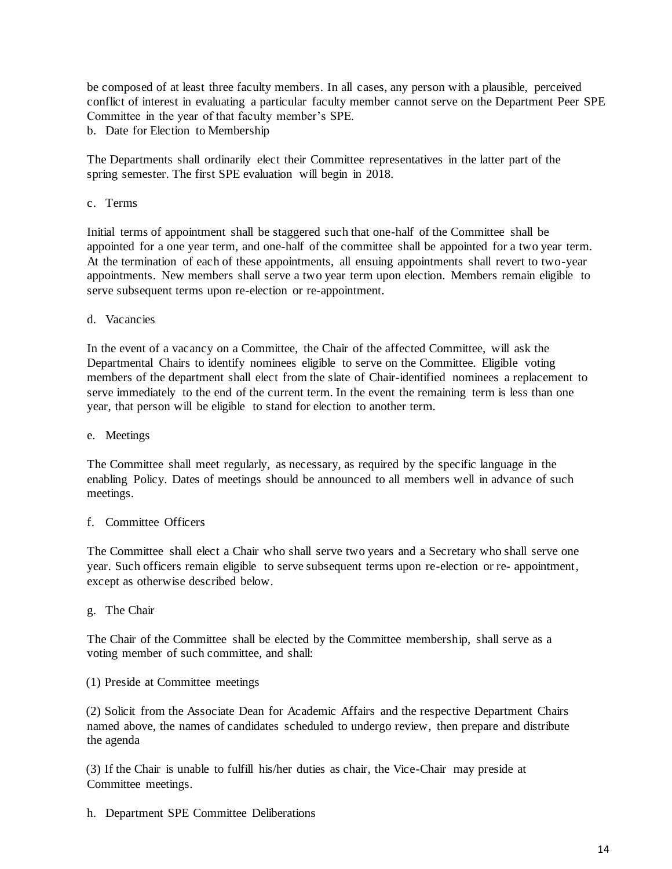be composed of at least three faculty members. In all cases, any person with a plausible, perceived conflict of interest in evaluating a particular faculty member cannot serve on the Department Peer SPE Committee in the year of that faculty member's SPE.

b. Date for Election to Membership

The Departments shall ordinarily elect their Committee representatives in the latter part of the spring semester. The first SPE evaluation will begin in 2018.

c. Terms

Initial terms of appointment shall be staggered such that one-half of the Committee shall be appointed for a one year term, and one-half of the committee shall be appointed for a two year term. At the termination of each of these appointments, all ensuing appointments shall revert to two-year appointments. New members shall serve a two year term upon election. Members remain eligible to serve subsequent terms upon re-election or re-appointment.

d. Vacancies

In the event of a vacancy on a Committee, the Chair of the affected Committee, will ask the Departmental Chairs to identify nominees eligible to serve on the Committee. Eligible voting members of the department shall elect from the slate of Chair-identified nominees a replacement to serve immediately to the end of the current term. In the event the remaining term is less than one year, that person will be eligible to stand for election to another term.

e. Meetings

The Committee shall meet regularly, as necessary, as required by the specific language in the enabling Policy. Dates of meetings should be announced to all members well in advance of such meetings.

## f. Committee Officers

The Committee shall elect a Chair who shall serve two years and a Secretary who shall serve one year. Such officers remain eligible to serve subsequent terms upon re-election or re- appointment, except as otherwise described below.

g. The Chair

The Chair of the Committee shall be elected by the Committee membership, shall serve as a voting member of such committee, and shall:

(1) Preside at Committee meetings

(2) Solicit from the Associate Dean for Academic Affairs and the respective Department Chairs named above, the names of candidates scheduled to undergo review, then prepare and distribute the agenda

(3) If the Chair is unable to fulfill his/her duties as chair, the Vice-Chair may preside at Committee meetings.

h. Department SPE Committee Deliberations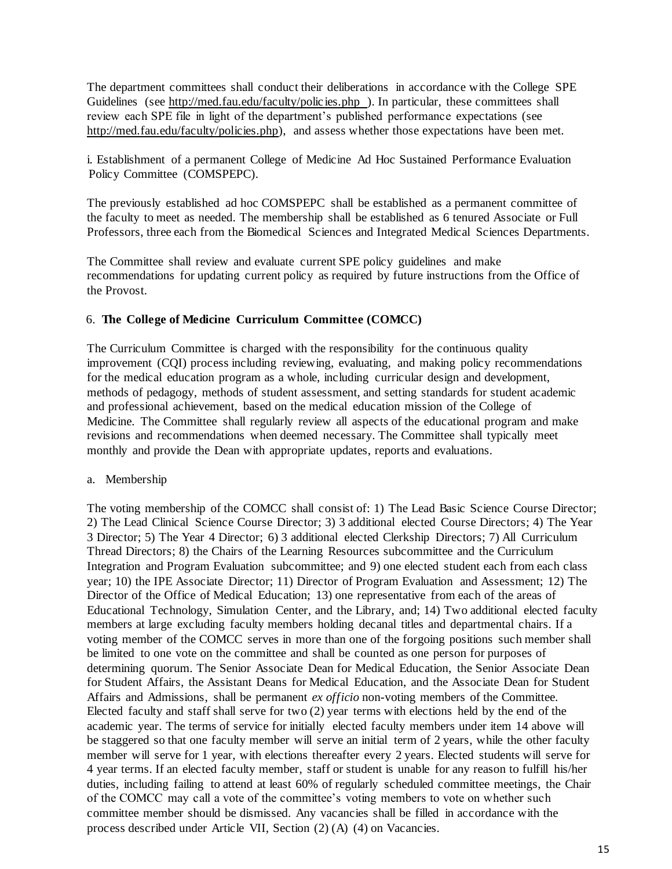The department committees shall conduct their deliberations in accordance with the College SPE Guidelines (see [http://med.fau.edu/faculty/polic ies.php \)](http://med.fau.edu/faculty/policies.php). In particular, these committees shall review each SPE file in light of the department's published performance expectations (see [http://med.fau.edu/faculty/policies.php\),](http://med.fau.edu/faculty/policies.php) and assess whether those expectations have been met.

i. Establishment of a permanent College of Medicine Ad Hoc Sustained Performance Evaluation Policy Committee (COMSPEPC).

The previously established ad hoc COMSPEPC shall be established as a permanent committee of the faculty to meet as needed. The membership shall be established as 6 tenured Associate or Full Professors, three each from the Biomedical Sciences and Integrated Medical Sciences Departments.

The Committee shall review and evaluate current SPE policy guidelines and make recommendations for updating current policy as required by future instructions from the Office of the Provost.

## 6. **The College of Medicine Curriculum Committee (COMCC)**

The Curriculum Committee is charged with the responsibility for the continuous quality improvement (CQI) process including reviewing, evaluating, and making policy recommendations for the medical education program as a whole, including curricular design and development, methods of pedagogy, methods of student assessment, and setting standards for student academic and professional achievement, based on the medical education mission of the College of Medicine. The Committee shall regularly review all aspects of the educational program and make revisions and recommendations when deemed necessary. The Committee shall typically meet monthly and provide the Dean with appropriate updates, reports and evaluations.

## a. Membership

The voting membership of the COMCC shall consist of: 1) The Lead Basic Science Course Director; 2) The Lead Clinical Science Course Director; 3) 3 additional elected Course Directors; 4) The Year 3 Director; 5) The Year 4 Director; 6) 3 additional elected Clerkship Directors; 7) All Curriculum Thread Directors; 8) the Chairs of the Learning Resources subcommittee and the Curriculum Integration and Program Evaluation subcommittee; and 9) one elected student each from each class year; 10) the IPE Associate Director; 11) Director of Program Evaluation and Assessment; 12) The Director of the Office of Medical Education; 13) one representative from each of the areas of Educational Technology, Simulation Center, and the Library, and; 14) Two additional elected faculty members at large excluding faculty members holding decanal titles and departmental chairs. If a voting member of the COMCC serves in more than one of the forgoing positions such member shall be limited to one vote on the committee and shall be counted as one person for purposes of determining quorum. The Senior Associate Dean for Medical Education, the Senior Associate Dean for Student Affairs, the Assistant Deans for Medical Education, and the Associate Dean for Student Affairs and Admissions, shall be permanent *ex officio* non-voting members of the Committee. Elected faculty and staff shall serve for two (2) year terms with elections held by the end of the academic year. The terms of service for initially elected faculty members under item 14 above will be staggered so that one faculty member will serve an initial term of 2 years, while the other faculty member will serve for 1 year, with elections thereafter every 2 years. Elected students will serve for 4 year terms. If an elected faculty member, staff or student is unable for any reason to fulfill his/her duties, including failing to attend at least 60% of regularly scheduled committee meetings, the Chair of the COMCC may call a vote of the committee's voting members to vote on whether such committee member should be dismissed. Any vacancies shall be filled in accordance with the process described under Article VII, Section (2) (A) (4) on Vacancies.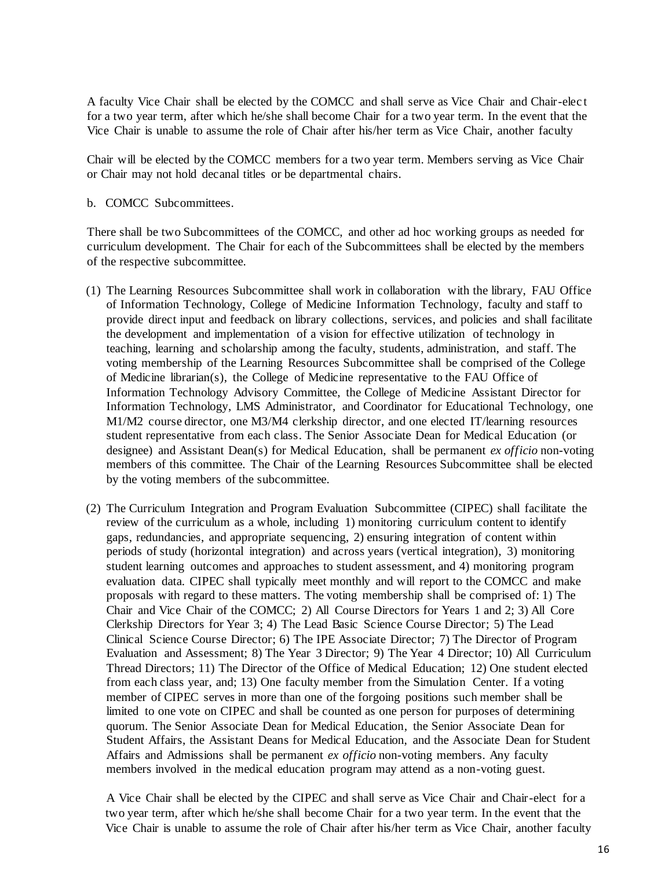A faculty Vice Chair shall be elected by the COMCC and shall serve as Vice Chair and Chair-elec t for a two year term, after which he/she shall become Chair for a two year term. In the event that the Vice Chair is unable to assume the role of Chair after his/her term as Vice Chair, another faculty

Chair will be elected by the COMCC members for a two year term. Members serving as Vice Chair or Chair may not hold decanal titles or be departmental chairs.

b. COMCC Subcommittees.

There shall be two Subcommittees of the COMCC, and other ad hoc working groups as needed for curriculum development. The Chair for each of the Subcommittees shall be elected by the members of the respective subcommittee.

- (1) The Learning Resources Subcommittee shall work in collaboration with the library, FAU Office of Information Technology, College of Medicine Information Technology, faculty and staff to provide direct input and feedback on library collections, services, and policies and shall facilitate the development and implementation of a vision for effective utilization of technology in teaching, learning and scholarship among the faculty, students, administration, and staff. The voting membership of the Learning Resources Subcommittee shall be comprised of the College of Medicine librarian(s), the College of Medicine representative to the FAU Office of Information Technology Advisory Committee, the College of Medicine Assistant Director for Information Technology, LMS Administrator, and Coordinator for Educational Technology, one M1/M2 course director, one M3/M4 clerkship director, and one elected IT/learning resources student representative from each class. The Senior Associate Dean for Medical Education (or designee) and Assistant Dean(s) for Medical Education, shall be permanent *ex officio* non-voting members of this committee. The Chair of the Learning Resources Subcommittee shall be elected by the voting members of the subcommittee.
- (2) The Curriculum Integration and Program Evaluation Subcommittee (CIPEC) shall facilitate the review of the curriculum as a whole, including 1) monitoring curriculum content to identify gaps, redundancies, and appropriate sequencing, 2) ensuring integration of content within periods of study (horizontal integration) and across years (vertical integration), 3) monitoring student learning outcomes and approaches to student assessment, and 4) monitoring program evaluation data. CIPEC shall typically meet monthly and will report to the COMCC and make proposals with regard to these matters. The voting membership shall be comprised of: 1) The Chair and Vice Chair of the COMCC; 2) All Course Directors for Years 1 and 2; 3) All Core Clerkship Directors for Year 3; 4) The Lead Basic Science Course Director; 5) The Lead Clinical Science Course Director; 6) The IPE Associate Director; 7) The Director of Program Evaluation and Assessment; 8) The Year 3 Director; 9) The Year 4 Director; 10) All Curriculum Thread Directors; 11) The Director of the Office of Medical Education; 12) One student elected from each class year, and; 13) One faculty member from the Simulation Center. If a voting member of CIPEC serves in more than one of the forgoing positions such member shall be limited to one vote on CIPEC and shall be counted as one person for purposes of determining quorum. The Senior Associate Dean for Medical Education, the Senior Associate Dean for Student Affairs, the Assistant Deans for Medical Education, and the Associate Dean for Student Affairs and Admissions shall be permanent *ex officio* non-voting members. Any faculty members involved in the medical education program may attend as a non-voting guest.

A Vice Chair shall be elected by the CIPEC and shall serve as Vice Chair and Chair-elect for a two year term, after which he/she shall become Chair for a two year term. In the event that the Vice Chair is unable to assume the role of Chair after his/her term as Vice Chair, another faculty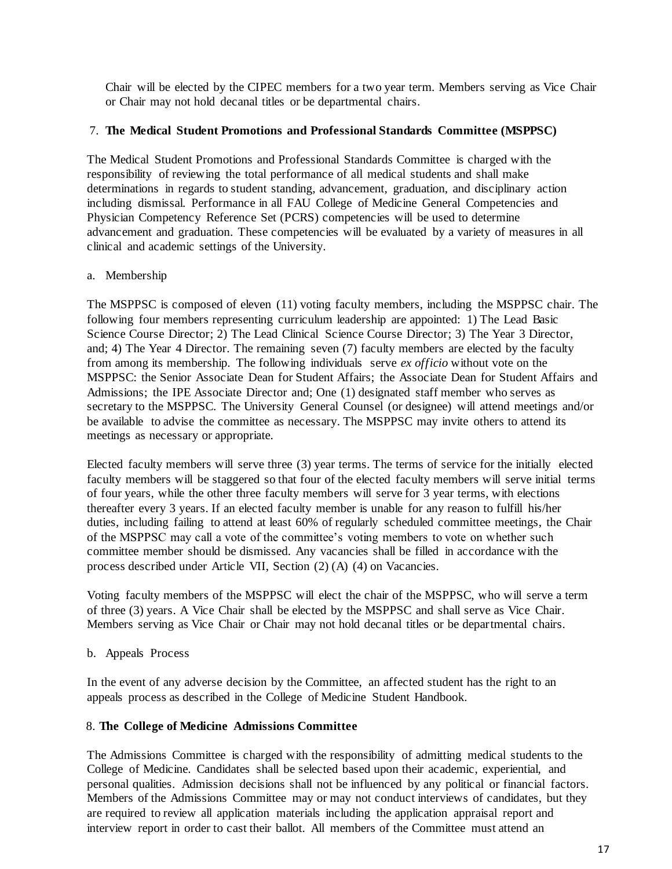Chair will be elected by the CIPEC members for a two year term. Members serving as Vice Chair or Chair may not hold decanal titles or be departmental chairs.

## 7. **The Medical Student Promotions and Professional Standards Committee (MSPPSC)**

The Medical Student Promotions and Professional Standards Committee is charged with the responsibility of reviewing the total performance of all medical students and shall make determinations in regards to student standing, advancement, graduation, and disciplinary action including dismissal. Performance in all FAU College of Medicine General Competencies and Physician Competency Reference Set (PCRS) competencies will be used to determine advancement and graduation. These competencies will be evaluated by a variety of measures in all clinical and academic settings of the University.

## a. Membership

The MSPPSC is composed of eleven (11) voting faculty members, including the MSPPSC chair. The following four members representing curriculum leadership are appointed: 1) The Lead Basic Science Course Director; 2) The Lead Clinical Science Course Director; 3) The Year 3 Director, and; 4) The Year 4 Director. The remaining seven (7) faculty members are elected by the faculty from among its membership. The following individuals serve *ex officio* without vote on the MSPPSC: the Senior Associate Dean for Student Affairs; the Associate Dean for Student Affairs and Admissions; the IPE Associate Director and; One (1) designated staff member who serves as secretary to the MSPPSC. The University General Counsel (or designee) will attend meetings and/or be available to advise the committee as necessary. The MSPPSC may invite others to attend its meetings as necessary or appropriate.

Elected faculty members will serve three (3) year terms. The terms of service for the initially elected faculty members will be staggered so that four of the elected faculty members will serve initial terms of four years, while the other three faculty members will serve for 3 year terms, with elections thereafter every 3 years. If an elected faculty member is unable for any reason to fulfill his/her duties, including failing to attend at least 60% of regularly scheduled committee meetings, the Chair of the MSPPSC may call a vote of the committee's voting members to vote on whether such committee member should be dismissed. Any vacancies shall be filled in accordance with the process described under Article VII, Section (2) (A) (4) on Vacancies.

Voting faculty members of the MSPPSC will elect the chair of the MSPPSC, who will serve a term of three (3) years. A Vice Chair shall be elected by the MSPPSC and shall serve as Vice Chair. Members serving as Vice Chair or Chair may not hold decanal titles or be departmental chairs.

b. Appeals Process

In the event of any adverse decision by the Committee, an affected student has the right to an appeals process as described in the College of Medicine Student Handbook.

# 8. **The College of Medicine Admissions Committee**

The Admissions Committee is charged with the responsibility of admitting medical students to the College of Medicine. Candidates shall be selected based upon their academic, experiential, and personal qualities. Admission decisions shall not be influenced by any political or financial factors. Members of the Admissions Committee may or may not conduct interviews of candidates, but they are required to review all application materials including the application appraisal report and interview report in order to cast their ballot. All members of the Committee must attend an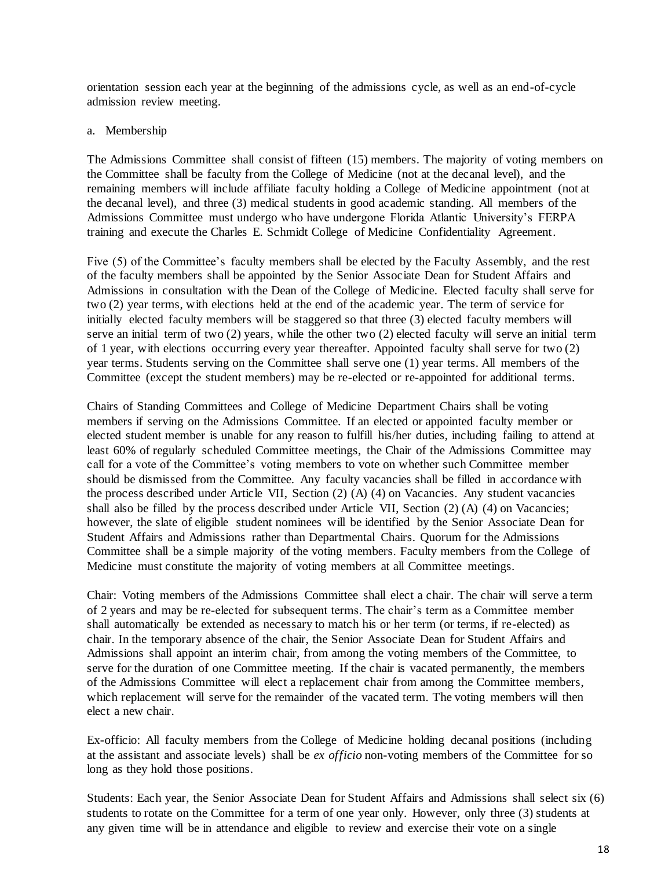orientation session each year at the beginning of the admissions cycle, as well as an end-of-cycle admission review meeting.

#### a. Membership

The Admissions Committee shall consist of fifteen (15) members. The majority of voting members on the Committee shall be faculty from the College of Medicine (not at the decanal level), and the remaining members will include affiliate faculty holding a College of Medicine appointment (not at the decanal level), and three (3) medical students in good academic standing. All members of the Admissions Committee must undergo who have undergone Florida Atlantic University's FERPA training and execute the Charles E. Schmidt College of Medicine Confidentiality Agreement.

Five (5) of the Committee's faculty members shall be elected by the Faculty Assembly, and the rest of the faculty members shall be appointed by the Senior Associate Dean for Student Affairs and Admissions in consultation with the Dean of the College of Medicine. Elected faculty shall serve for two (2) year terms, with elections held at the end of the academic year. The term of service for initially elected faculty members will be staggered so that three (3) elected faculty members will serve an initial term of two (2) years, while the other two (2) elected faculty will serve an initial term of 1 year, with elections occurring every year thereafter. Appointed faculty shall serve for two (2) year terms. Students serving on the Committee shall serve one (1) year terms. All members of the Committee (except the student members) may be re-elected or re-appointed for additional terms.

Chairs of Standing Committees and College of Medicine Department Chairs shall be voting members if serving on the Admissions Committee. If an elected or appointed faculty member or elected student member is unable for any reason to fulfill his/her duties, including failing to attend at least 60% of regularly scheduled Committee meetings, the Chair of the Admissions Committee may call for a vote of the Committee's voting members to vote on whether such Committee member should be dismissed from the Committee. Any faculty vacancies shall be filled in accordance with the process described under Article VII, Section (2) (A) (4) on Vacancies. Any student vacancies shall also be filled by the process described under Article VII, Section (2) (A) (4) on Vacancies; however, the slate of eligible student nominees will be identified by the Senior Associate Dean for Student Affairs and Admissions rather than Departmental Chairs. Quorum for the Admissions Committee shall be a simple majority of the voting members. Faculty members from the College of Medicine must constitute the majority of voting members at all Committee meetings.

Chair: Voting members of the Admissions Committee shall elect a chair. The chair will serve a term of 2 years and may be re-elected for subsequent terms. The chair's term as a Committee member shall automatically be extended as necessary to match his or her term (or terms, if re-elected) as chair. In the temporary absence of the chair, the Senior Associate Dean for Student Affairs and Admissions shall appoint an interim chair, from among the voting members of the Committee, to serve for the duration of one Committee meeting. If the chair is vacated permanently, the members of the Admissions Committee will elect a replacement chair from among the Committee members, which replacement will serve for the remainder of the vacated term. The voting members will then elect a new chair.

Ex-officio: All faculty members from the College of Medicine holding decanal positions (including at the assistant and associate levels) shall be *ex officio* non-voting members of the Committee for so long as they hold those positions.

Students: Each year, the Senior Associate Dean for Student Affairs and Admissions shall select six (6) students to rotate on the Committee for a term of one year only. However, only three (3) students at any given time will be in attendance and eligible to review and exercise their vote on a single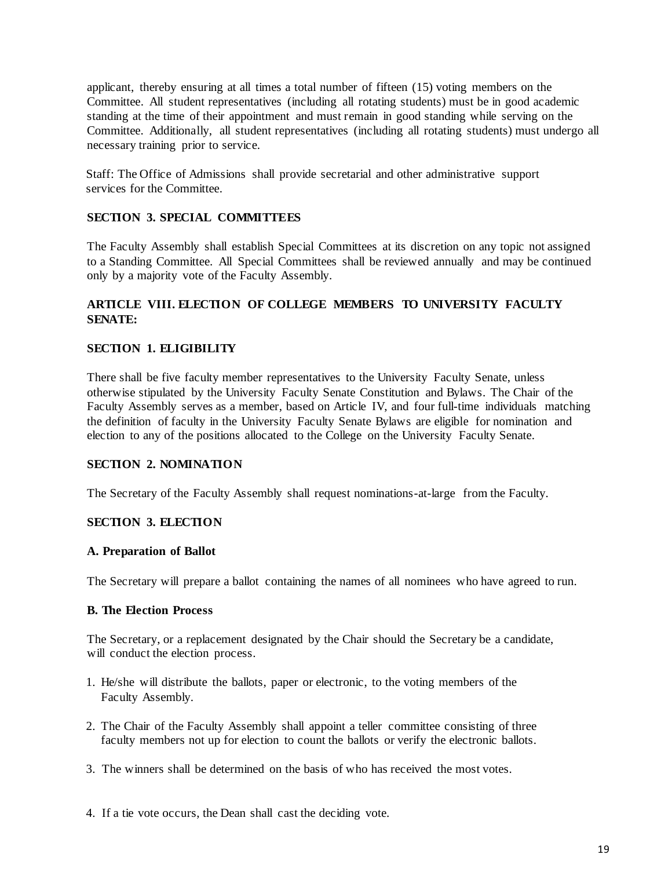applicant, thereby ensuring at all times a total number of fifteen (15) voting members on the Committee. All student representatives (including all rotating students) must be in good academic standing at the time of their appointment and must remain in good standing while serving on the Committee. Additionally, all student representatives (including all rotating students) must undergo all necessary training prior to service.

Staff: The Office of Admissions shall provide secretarial and other administrative support services for the Committee.

## **SECTION 3. SPECIAL COMMITTEES**

The Faculty Assembly shall establish Special Committees at its discretion on any topic not assigned to a Standing Committee. All Special Committees shall be reviewed annually and may be continued only by a majority vote of the Faculty Assembly.

# **ARTICLE VIII. ELECTION OF COLLEGE MEMBERS TO UNIVERSITY FACULTY SENATE:**

### **SECTION 1. ELIGIBILITY**

There shall be five faculty member representatives to the University Faculty Senate, unless otherwise stipulated by the University Faculty Senate Constitution and Bylaws. The Chair of the Faculty Assembly serves as a member, based on Article IV, and four full-time individuals matching the definition of faculty in the University Faculty Senate Bylaws are eligible for nomination and election to any of the positions allocated to the College on the University Faculty Senate.

### **SECTION 2. NOMINATION**

The Secretary of the Faculty Assembly shall request nominations-at-large from the Faculty.

#### **SECTION 3. ELECTION**

#### **A. Preparation of Ballot**

The Secretary will prepare a ballot containing the names of all nominees who have agreed to run.

### **B. The Election Process**

The Secretary, or a replacement designated by the Chair should the Secretary be a candidate, will conduct the election process.

- 1. He/she will distribute the ballots, paper or electronic, to the voting members of the Faculty Assembly.
- 2. The Chair of the Faculty Assembly shall appoint a teller committee consisting of three faculty members not up for election to count the ballots or verify the electronic ballots.
- 3. The winners shall be determined on the basis of who has received the most votes.
- 4. If a tie vote occurs, the Dean shall cast the deciding vote.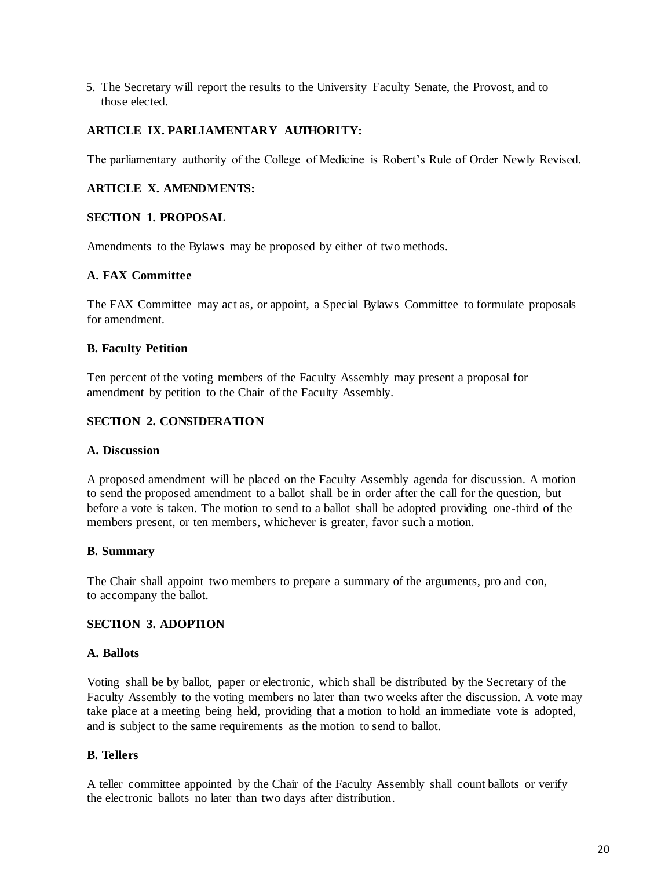5. The Secretary will report the results to the University Faculty Senate, the Provost, and to those elected.

# **ARTICLE IX. PARLIAMENTARY AUTHORITY:**

The parliamentary authority of the College of Medicine is Robert's Rule of Order Newly Revised.

## **ARTICLE X. AMENDMENTS:**

## **SECTION 1. PROPOSAL**

Amendments to the Bylaws may be proposed by either of two methods.

## **A. FAX Committee**

The FAX Committee may act as, or appoint, a Special Bylaws Committee to formulate proposals for amendment.

## **B. Faculty Petition**

Ten percent of the voting members of the Faculty Assembly may present a proposal for amendment by petition to the Chair of the Faculty Assembly.

## **SECTION 2. CONSIDERATION**

## **A. Discussion**

A proposed amendment will be placed on the Faculty Assembly agenda for discussion. A motion to send the proposed amendment to a ballot shall be in order after the call for the question, but before a vote is taken. The motion to send to a ballot shall be adopted providing one-third of the members present, or ten members, whichever is greater, favor such a motion.

## **B. Summary**

The Chair shall appoint two members to prepare a summary of the arguments, pro and con, to accompany the ballot.

# **SECTION 3. ADOPTION**

## **A. Ballots**

Voting shall be by ballot, paper or electronic, which shall be distributed by the Secretary of the Faculty Assembly to the voting members no later than two weeks after the discussion. A vote may take place at a meeting being held, providing that a motion to hold an immediate vote is adopted, and is subject to the same requirements as the motion to send to ballot.

## **B. Tellers**

A teller committee appointed by the Chair of the Faculty Assembly shall count ballots or verify the electronic ballots no later than two days after distribution.